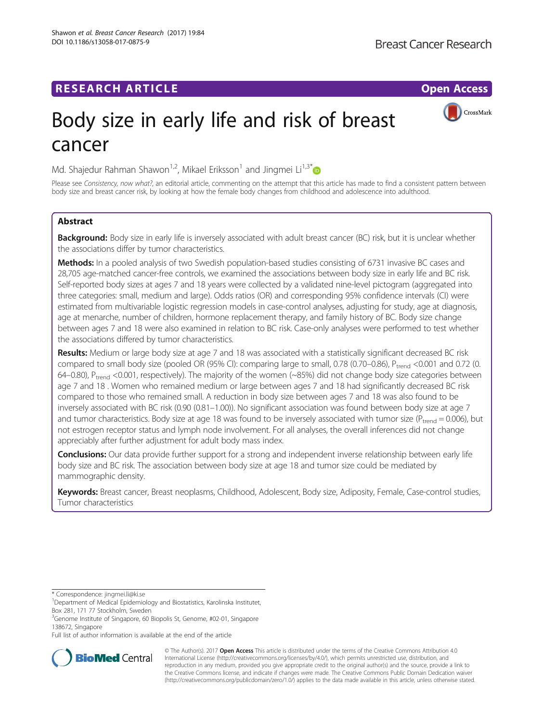# **RESEARCH ARTICLE Example 2014 12:30 The Contract of Contract ACCESS**

CrossMark

# Body size in early life and risk of breast cancer

Md. Shajedur Rahman Shawon<sup>1,2</sup>, Mikael Eriksson<sup>1</sup> and Jingmei Li<sup>1,3[\\*](http://orcid.org/0000-0001-8587-7511)</sup>

Please see Consistency, now what?, an editorial article, commenting on the attempt that this article has made to find a consistent pattern between body size and breast cancer risk, by looking at how the female body changes from childhood and adolescence into adulthood.

# Abstract

Background: Body size in early life is inversely associated with adult breast cancer (BC) risk, but it is unclear whether the associations differ by tumor characteristics.

Methods: In a pooled analysis of two Swedish population-based studies consisting of 6731 invasive BC cases and 28,705 age-matched cancer-free controls, we examined the associations between body size in early life and BC risk. Self-reported body sizes at ages 7 and 18 years were collected by a validated nine-level pictogram (aggregated into three categories: small, medium and large). Odds ratios (OR) and corresponding 95% confidence intervals (CI) were estimated from multivariable logistic regression models in case-control analyses, adjusting for study, age at diagnosis, age at menarche, number of children, hormone replacement therapy, and family history of BC. Body size change between ages 7 and 18 were also examined in relation to BC risk. Case-only analyses were performed to test whether the associations differed by tumor characteristics.

Results: Medium or large body size at age 7 and 18 was associated with a statistically significant decreased BC risk compared to small body size (pooled OR (95% CI): comparing large to small, 0.78 (0.70–0.86),  $P_{trend}$  <0.001 and 0.72 (0. 64–0.80), Ptrend <0.001, respectively). The majority of the women (~85%) did not change body size categories between age 7 and 18 . Women who remained medium or large between ages 7 and 18 had significantly decreased BC risk compared to those who remained small. A reduction in body size between ages 7 and 18 was also found to be inversely associated with BC risk (0.90 (0.81–1.00)). No significant association was found between body size at age 7 and tumor characteristics. Body size at age 18 was found to be inversely associated with tumor size ( $P_{trend} = 0.006$ ), but not estrogen receptor status and lymph node involvement. For all analyses, the overall inferences did not change appreciably after further adjustment for adult body mass index.

**Conclusions:** Our data provide further support for a strong and independent inverse relationship between early life body size and BC risk. The association between body size at age 18 and tumor size could be mediated by mammographic density.

Keywords: Breast cancer, Breast neoplasms, Childhood, Adolescent, Body size, Adiposity, Female, Case-control studies, Tumor characteristics

\* Correspondence: [jingmei.li@ki.se](mailto:jingmei.li@ki.se) <sup>1</sup>

<sup>3</sup>Genome Institute of Singapore, 60 Biopolis St, Genome, #02-01, Singapore 138672, Singapore

Full list of author information is available at the end of the article



© The Author(s). 2017 **Open Access** This article is distributed under the terms of the Creative Commons Attribution 4.0 International License [\(http://creativecommons.org/licenses/by/4.0/](http://creativecommons.org/licenses/by/4.0/)), which permits unrestricted use, distribution, and reproduction in any medium, provided you give appropriate credit to the original author(s) and the source, provide a link to the Creative Commons license, and indicate if changes were made. The Creative Commons Public Domain Dedication waiver [\(http://creativecommons.org/publicdomain/zero/1.0/](http://creativecommons.org/publicdomain/zero/1.0/)) applies to the data made available in this article, unless otherwise stated.

Department of Medical Epidemiology and Biostatistics, Karolinska Institutet, Box 281, 171 77 Stockholm, Sweden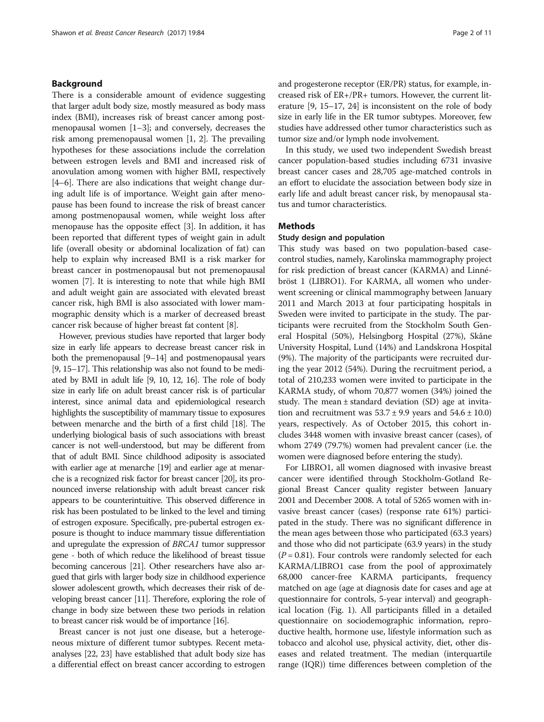# Background

There is a considerable amount of evidence suggesting that larger adult body size, mostly measured as body mass index (BMI), increases risk of breast cancer among postmenopausal women [\[1](#page-9-0)–[3](#page-9-0)]; and conversely, decreases the risk among premenopausal women [\[1](#page-9-0), [2\]](#page-9-0). The prevailing hypotheses for these associations include the correlation between estrogen levels and BMI and increased risk of anovulation among women with higher BMI, respectively [[4](#page-9-0)–[6](#page-9-0)]. There are also indications that weight change during adult life is of importance. Weight gain after menopause has been found to increase the risk of breast cancer among postmenopausal women, while weight loss after menopause has the opposite effect [\[3\]](#page-9-0). In addition, it has been reported that different types of weight gain in adult life (overall obesity or abdominal localization of fat) can help to explain why increased BMI is a risk marker for breast cancer in postmenopausal but not premenopausal women [\[7\]](#page-9-0). It is interesting to note that while high BMI and adult weight gain are associated with elevated breast cancer risk, high BMI is also associated with lower mammographic density which is a marker of decreased breast cancer risk because of higher breast fat content [\[8\]](#page-9-0).

However, previous studies have reported that larger body size in early life appears to decrease breast cancer risk in both the premenopausal [[9](#page-10-0)–[14\]](#page-10-0) and postmenopausal years [[9](#page-10-0), [15](#page-10-0)–[17](#page-10-0)]. This relationship was also not found to be mediated by BMI in adult life [[9](#page-10-0), [10](#page-10-0), [12](#page-10-0), [16](#page-10-0)]. The role of body size in early life on adult breast cancer risk is of particular interest, since animal data and epidemiological research highlights the susceptibility of mammary tissue to exposures between menarche and the birth of a first child [[18](#page-10-0)]. The underlying biological basis of such associations with breast cancer is not well-understood, but may be different from that of adult BMI. Since childhood adiposity is associated with earlier age at menarche [\[19\]](#page-10-0) and earlier age at menarche is a recognized risk factor for breast cancer [\[20](#page-10-0)], its pronounced inverse relationship with adult breast cancer risk appears to be counterintuitive. This observed difference in risk has been postulated to be linked to the level and timing of estrogen exposure. Specifically, pre-pubertal estrogen exposure is thought to induce mammary tissue differentiation and upregulate the expression of BRCA1 tumor suppressor gene - both of which reduce the likelihood of breast tissue becoming cancerous [\[21\]](#page-10-0). Other researchers have also argued that girls with larger body size in childhood experience slower adolescent growth, which decreases their risk of developing breast cancer [\[11](#page-10-0)]. Therefore, exploring the role of change in body size between these two periods in relation to breast cancer risk would be of importance [\[16\]](#page-10-0).

Breast cancer is not just one disease, but a heterogeneous mixture of different tumor subtypes. Recent metaanalyses [\[22, 23\]](#page-10-0) have established that adult body size has a differential effect on breast cancer according to estrogen and progesterone receptor (ER/PR) status, for example, increased risk of ER+/PR+ tumors. However, the current literature [[9, 15](#page-10-0)–[17](#page-10-0), [24\]](#page-10-0) is inconsistent on the role of body size in early life in the ER tumor subtypes. Moreover, few studies have addressed other tumor characteristics such as tumor size and/or lymph node involvement.

In this study, we used two independent Swedish breast cancer population-based studies including 6731 invasive breast cancer cases and 28,705 age-matched controls in an effort to elucidate the association between body size in early life and adult breast cancer risk, by menopausal status and tumor characteristics.

# **Methods**

### Study design and population

This study was based on two population-based casecontrol studies, namely, Karolinska mammography project for risk prediction of breast cancer (KARMA) and Linnébröst 1 (LIBRO1). For KARMA, all women who underwent screening or clinical mammography between January 2011 and March 2013 at four participating hospitals in Sweden were invited to participate in the study. The participants were recruited from the Stockholm South General Hospital (50%), Helsingborg Hospital (27%), Skåne University Hospital, Lund (14%) and Landskrona Hospital (9%). The majority of the participants were recruited during the year 2012 (54%). During the recruitment period, a total of 210,233 women were invited to participate in the KARMA study, of whom 70,877 women (34%) joined the study. The mean  $\pm$  standard deviation (SD) age at invitation and recruitment was  $53.7 \pm 9.9$  years and  $54.6 \pm 10.0$ ) years, respectively. As of October 2015, this cohort includes 3448 women with invasive breast cancer (cases), of whom 2749 (79.7%) women had prevalent cancer (i.e. the women were diagnosed before entering the study).

For LIBRO1, all women diagnosed with invasive breast cancer were identified through Stockholm-Gotland Regional Breast Cancer quality register between January 2001 and December 2008. A total of 5265 women with invasive breast cancer (cases) (response rate 61%) participated in the study. There was no significant difference in the mean ages between those who participated (63.3 years) and those who did not participate (63.9 years) in the study  $(P = 0.81)$ . Four controls were randomly selected for each KARMA/LIBRO1 case from the pool of approximately 68,000 cancer-free KARMA participants, frequency matched on age (age at diagnosis date for cases and age at questionnaire for controls, 5-year interval) and geographical location (Fig. [1](#page-2-0)). All participants filled in a detailed questionnaire on sociodemographic information, reproductive health, hormone use, lifestyle information such as tobacco and alcohol use, physical activity, diet, other diseases and related treatment. The median (interquartile range (IQR)) time differences between completion of the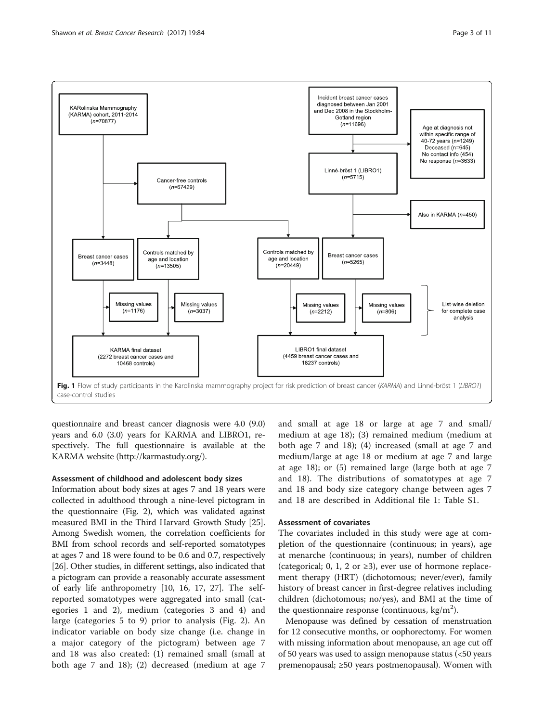<span id="page-2-0"></span>

questionnaire and breast cancer diagnosis were 4.0 (9.0) years and 6.0 (3.0) years for KARMA and LIBRO1, respectively. The full questionnaire is available at the KARMA website [\(http://karmastudy.org/](http://karmastudy.org/)).

# Assessment of childhood and adolescent body sizes

Information about body sizes at ages 7 and 18 years were collected in adulthood through a nine-level pictogram in the questionnaire (Fig. [2\)](#page-3-0), which was validated against measured BMI in the Third Harvard Growth Study [[25](#page-10-0)]. Among Swedish women, the correlation coefficients for BMI from school records and self-reported somatotypes at ages 7 and 18 were found to be 0.6 and 0.7, respectively [[26](#page-10-0)]. Other studies, in different settings, also indicated that a pictogram can provide a reasonably accurate assessment of early life anthropometry [\[10](#page-10-0), [16, 17, 27\]](#page-10-0). The selfreported somatotypes were aggregated into small (categories 1 and 2), medium (categories 3 and 4) and large (categories 5 to 9) prior to analysis (Fig. [2](#page-3-0)). An indicator variable on body size change (i.e. change in a major category of the pictogram) between age 7 and 18 was also created: (1) remained small (small at both age 7 and 18); (2) decreased (medium at age 7

and small at age 18 or large at age 7 and small/ medium at age 18); (3) remained medium (medium at both age 7 and 18); (4) increased (small at age 7 and medium/large at age 18 or medium at age 7 and large at age 18); or (5) remained large (large both at age 7 and 18). The distributions of somatotypes at age 7 and 18 and body size category change between ages 7 and 18 are described in Additional file [1:](#page-9-0) Table S1.

## Assessment of covariates

The covariates included in this study were age at completion of the questionnaire (continuous; in years), age at menarche (continuous; in years), number of children (categorical; 0, 1, 2 or  $\geq$ 3), ever use of hormone replacement therapy (HRT) (dichotomous; never/ever), family history of breast cancer in first-degree relatives including children (dichotomous; no/yes), and BMI at the time of the questionnaire response (continuous,  $\text{kg/m}^2$ ).

Menopause was defined by cessation of menstruation for 12 consecutive months, or oophorectomy. For women with missing information about menopause, an age cut off of 50 years was used to assign menopause status (<50 years premenopausal; ≥50 years postmenopausal). Women with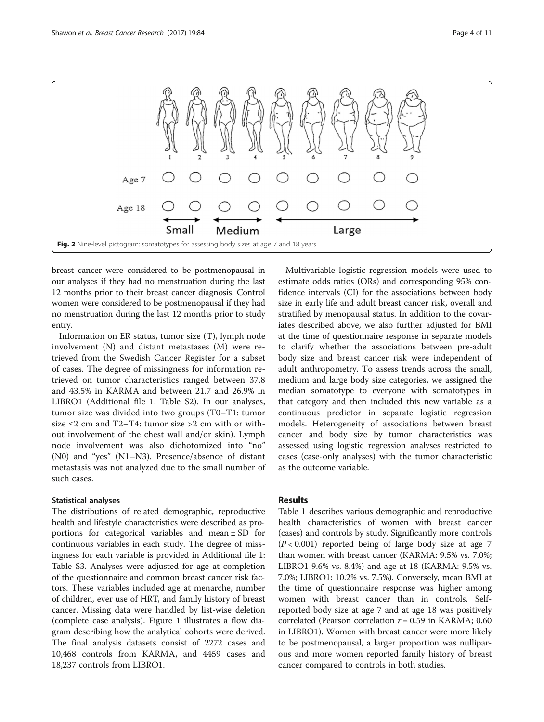<span id="page-3-0"></span>

breast cancer were considered to be postmenopausal in our analyses if they had no menstruation during the last 12 months prior to their breast cancer diagnosis. Control women were considered to be postmenopausal if they had no menstruation during the last 12 months prior to study entry.

Information on ER status, tumor size (T), lymph node involvement (N) and distant metastases (M) were retrieved from the Swedish Cancer Register for a subset of cases. The degree of missingness for information retrieved on tumor characteristics ranged between 37.8 and 43.5% in KARMA and between 21.7 and 26.9% in LIBRO1 (Additional file [1:](#page-9-0) Table S2). In our analyses, tumor size was divided into two groups (T0–T1: tumor size  $\leq$  2 cm and T2–T4: tumor size  $>$  2 cm with or without involvement of the chest wall and/or skin). Lymph node involvement was also dichotomized into "no" (N0) and "yes" (N1–N3). Presence/absence of distant metastasis was not analyzed due to the small number of such cases.

## Statistical analyses

The distributions of related demographic, reproductive health and lifestyle characteristics were described as proportions for categorical variables and mean  $\pm$  SD for continuous variables in each study. The degree of missingness for each variable is provided in Additional file [1](#page-9-0): Table S3. Analyses were adjusted for age at completion of the questionnaire and common breast cancer risk factors. These variables included age at menarche, number of children, ever use of HRT, and family history of breast cancer. Missing data were handled by list-wise deletion (complete case analysis). Figure [1](#page-2-0) illustrates a flow diagram describing how the analytical cohorts were derived. The final analysis datasets consist of 2272 cases and 10,468 controls from KARMA, and 4459 cases and 18,237 controls from LIBRO1.

Multivariable logistic regression models were used to estimate odds ratios (ORs) and corresponding 95% confidence intervals (CI) for the associations between body size in early life and adult breast cancer risk, overall and stratified by menopausal status. In addition to the covariates described above, we also further adjusted for BMI at the time of questionnaire response in separate models to clarify whether the associations between pre-adult body size and breast cancer risk were independent of adult anthropometry. To assess trends across the small, medium and large body size categories, we assigned the median somatotype to everyone with somatotypes in that category and then included this new variable as a continuous predictor in separate logistic regression models. Heterogeneity of associations between breast cancer and body size by tumor characteristics was assessed using logistic regression analyses restricted to cases (case-only analyses) with the tumor characteristic as the outcome variable.

# Results

Table [1](#page-4-0) describes various demographic and reproductive health characteristics of women with breast cancer (cases) and controls by study. Significantly more controls  $(P < 0.001)$  reported being of large body size at age 7 than women with breast cancer (KARMA: 9.5% vs. 7.0%; LIBRO1 9.6% vs. 8.4%) and age at 18 (KARMA: 9.5% vs. 7.0%; LIBRO1: 10.2% vs. 7.5%). Conversely, mean BMI at the time of questionnaire response was higher among women with breast cancer than in controls. Selfreported body size at age 7 and at age 18 was positively correlated (Pearson correlation  $r = 0.59$  in KARMA; 0.60 in LIBRO1). Women with breast cancer were more likely to be postmenopausal, a larger proportion was nulliparous and more women reported family history of breast cancer compared to controls in both studies.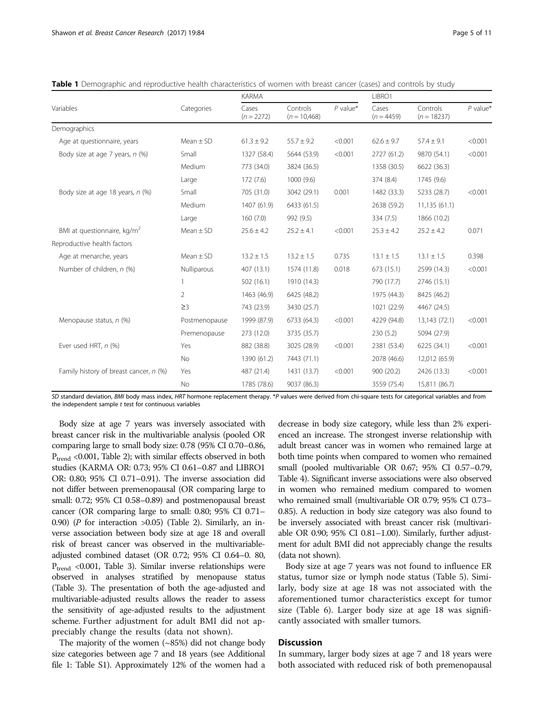|                                         |                | <b>KARMA</b>          |                            |            | LIBRO1                |                           |            |
|-----------------------------------------|----------------|-----------------------|----------------------------|------------|-----------------------|---------------------------|------------|
| Variables                               | Categories     | Cases<br>$(n = 2272)$ | Controls<br>$(n = 10,468)$ | $P$ value* | Cases<br>$(n = 4459)$ | Controls<br>$(n = 18237)$ | $P$ value* |
| Demographics                            |                |                       |                            |            |                       |                           |            |
| Age at questionnaire, years             | $Mean \pm SD$  | $61.3 \pm 9.2$        | $55.7 \pm 9.2$             | < 0.001    | $62.6 \pm 9.7$        | $57.4 \pm 9.1$            | < 0.001    |
| Body size at age 7 years, n (%)         | Small          | 1327 (58.4)           | 5644 (53.9)                | < 0.001    | 2727 (61.2)           | 9870 (54.1)               | < 0.001    |
|                                         | Medium         | 773 (34.0)            | 3824 (36.5)                |            | 1358 (30.5)           | 6622 (36.3)               |            |
|                                         | Large          | 172(7.6)              | 1000(9.6)                  |            | 374 (8.4)             | 1745 (9.6)                |            |
| Body size at age 18 years, n (%)        | Small          | 705 (31.0)            | 3042 (29.1)                | 0.001      | 1482 (33.3)           | 5233 (28.7)               | < 0.001    |
|                                         | Medium         | 1407 (61.9)           | 6433 (61.5)                |            | 2638 (59.2)           | 11,135 (61.1)             |            |
|                                         | Large          | 160(7.0)              | 992 (9.5)                  |            | 334 (7.5)             | 1866 (10.2)               |            |
| BMI at questionnaire, kg/m <sup>2</sup> | $Mean \pm SD$  | $25.6 \pm 4.2$        | $25.2 \pm 4.1$             | < 0.001    | $25.3 \pm 4.2$        | $25.2 \pm 4.2$            | 0.071      |
| Reproductive health factors             |                |                       |                            |            |                       |                           |            |
| Age at menarche, years                  | $Mean \pm SD$  | $13.2 \pm 1.5$        | $13.2 \pm 1.5$             | 0.735      | $13.1 \pm 1.5$        | $13.1 \pm 1.5$            | 0.398      |
| Number of children, n (%)               | Nulliparous    | 407 (13.1)            | 1574 (11.8)                | 0.018      | 673 (15.1)            | 2599 (14.3)               | < 0.001    |
|                                         | 1              | 502 (16.1)            | 1910 (14.3)                |            | 790 (17.7)            | 2746 (15.1)               |            |
|                                         | $\overline{2}$ | 1463 (46.9)           | 6425 (48.2)                |            | 1975 (44.3)           | 8425 (46.2)               |            |
|                                         | $\geq$ 3       | 743 (23.9)            | 3430 (25.7)                |            | 1021 (22.9)           | 4467 (24.5)               |            |
| Menopause status, n (%)                 | Postmenopause  | 1999 (87.9)           | 6733 (64.3)                | < 0.001    | 4229 (94.8)           | 13,143 (72.1)             | < 0.001    |
|                                         | Premenopause   | 273 (12.0)            | 3735 (35.7)                |            | 230(5.2)              | 5094 (27.9)               |            |
| Ever used HRT, n (%)                    | Yes            | 882 (38.8)            | 3025 (28.9)                | < 0.001    | 2381 (53.4)           | 6225 (34.1)               | < 0.001    |
|                                         | <b>No</b>      | 1390 (61.2)           | 7443 (71.1)                |            | 2078 (46.6)           | 12,012 (65.9)             |            |
| Family history of breast cancer, n (%)  | Yes            | 487 (21.4)            | 1431 (13.7)                | < 0.001    | 900(20.2)             | 2426 (13.3)               | < 0.001    |
|                                         | No             | 1785 (78.6)           | 9037 (86.3)                |            | 3559 (75.4)           | 15,811 (86.7)             |            |

<span id="page-4-0"></span>Table 1 Demographic and reproductive health characteristics of women with breast cancer (cases) and controls by study

SD standard deviation, BMI body mass index, HRT hormone replacement therapy. \*P values were derived from chi-square tests for categorical variables and from the independent sample  $t$  test for continuous variables

Body size at age 7 years was inversely associated with breast cancer risk in the multivariable analysis (pooled OR comparing large to small body size: 0.78 (95% CI 0.70–0.86,  $P_{trend}$  <0.001, Table [2](#page-5-0)); with similar effects observed in both studies (KARMA OR: 0.73; 95% CI 0.61–0.87 and LIBRO1 OR: 0.80; 95% CI 0.71–0.91). The inverse association did not differ between premenopausal (OR comparing large to small: 0.72; 95% CI 0.58–0.89) and postmenopausal breast cancer (OR comparing large to small: 0.80; 95% CI 0.71– 0.90) ( $P$  for interaction >0.05) (Table [2](#page-5-0)). Similarly, an inverse association between body size at age 18 and overall risk of breast cancer was observed in the multivariableadjusted combined dataset (OR 0.72; 95% CI 0.64–0. 80,  $P_{trend}$  <0.001, Table [3](#page-5-0)). Similar inverse relationships were observed in analyses stratified by menopause status (Table [3\)](#page-5-0). The presentation of both the age-adjusted and multivariable-adjusted results allows the reader to assess the sensitivity of age-adjusted results to the adjustment scheme. Further adjustment for adult BMI did not appreciably change the results (data not shown).

The majority of the women  $(\sim 85\%)$  did not change body size categories between age 7 and 18 years (see Additional file [1:](#page-9-0) Table S1). Approximately 12% of the women had a decrease in body size category, while less than 2% experienced an increase. The strongest inverse relationship with adult breast cancer was in women who remained large at both time points when compared to women who remained small (pooled multivariable OR 0.67; 95% CI 0.57–0.79, Table [4](#page-6-0)). Significant inverse associations were also observed in women who remained medium compared to women who remained small (multivariable OR 0.79; 95% CI 0.73– 0.85). A reduction in body size category was also found to be inversely associated with breast cancer risk (multivariable OR 0.90; 95% CI 0.81–1.00). Similarly, further adjustment for adult BMI did not appreciably change the results (data not shown).

Body size at age 7 years was not found to influence ER status, tumor size or lymph node status (Table [5\)](#page-6-0). Similarly, body size at age 18 was not associated with the aforementioned tumor characteristics except for tumor size (Table [6\)](#page-7-0). Larger body size at age 18 was significantly associated with smaller tumors.

# **Discussion**

In summary, larger body sizes at age 7 and 18 years were both associated with reduced risk of both premenopausal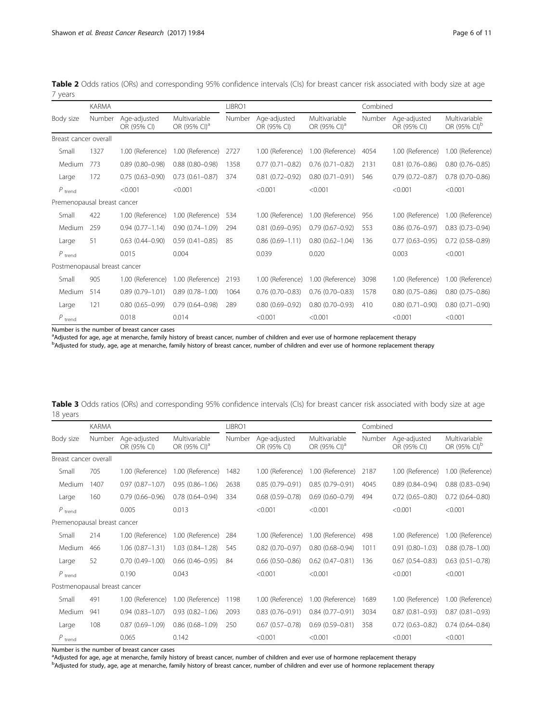<span id="page-5-0"></span>

|         |  |  |  |  |  |  |  | Table 2 Odds ratios (ORs) and corresponding 95% confidence intervals (CIs) for breast cancer risk associated with body size at age |  |  |
|---------|--|--|--|--|--|--|--|------------------------------------------------------------------------------------------------------------------------------------|--|--|
| 7 years |  |  |  |  |  |  |  |                                                                                                                                    |  |  |

|                              | <b>KARMA</b> |                             |                                           | LIBRO1 |                             |                                           |        | Combined                    |                                           |
|------------------------------|--------------|-----------------------------|-------------------------------------------|--------|-----------------------------|-------------------------------------------|--------|-----------------------------|-------------------------------------------|
| Body size                    | Number       | Age-adjusted<br>OR (95% CI) | Multivariable<br>OR (95% CI) <sup>a</sup> | Number | Age-adjusted<br>OR (95% CI) | Multivariable<br>OR (95% CI) <sup>a</sup> | Number | Age-adjusted<br>OR (95% CI) | Multivariable<br>OR (95% CI) <sup>b</sup> |
| Breast cancer overall        |              |                             |                                           |        |                             |                                           |        |                             |                                           |
| Small                        | 1327         | 1.00 (Reference)            | 1.00 (Reference)                          | 2727   | 1.00 (Reference)            | 1.00 (Reference)                          | 4054   | 1.00 (Reference)            | 1.00 (Reference)                          |
| Medium                       | 773          | $0.89(0.80 - 0.98)$         | $0.88$ $(0.80 - 0.98)$                    | 1358   | $0.77(0.71 - 0.82)$         | $0.76(0.71 - 0.82)$                       | 2131   | $0.81(0.76 - 0.86)$         | $0.80(0.76 - 0.85)$                       |
| Large                        | 172          | $0.75(0.63 - 0.90)$         | $0.73(0.61 - 0.87)$                       | 374    | $0.81(0.72 - 0.92)$         | $0.80(0.71 - 0.91)$                       | 546    | $0.79(0.72 - 0.87)$         | $0.78(0.70 - 0.86)$                       |
| $P$ <sub>trend</sub>         |              | < 0.001                     | < 0.001                                   |        | < 0.001                     | < 0.001                                   |        | < 0.001                     | < 0.001                                   |
| Premenopausal breast cancer  |              |                             |                                           |        |                             |                                           |        |                             |                                           |
| Small                        | 422          | 1.00 (Reference)            | 1.00 (Reference)                          | 534    | 1.00 (Reference)            | 1.00 (Reference)                          | 956    | 1.00 (Reference)            | 1.00 (Reference)                          |
| Medium                       | 259          | $0.94(0.77 - 1.14)$         | $0.90(0.74 - 1.09)$                       | 294    | $0.81$ $(0.69 - 0.95)$      | $0.79(0.67 - 0.92)$                       | 553    | $0.86(0.76 - 0.97)$         | $0.83$ $(0.73 - 0.94)$                    |
| Large                        | 51           | $0.63(0.44 - 0.90)$         | $0.59(0.41 - 0.85)$                       | 85     | $0.86(0.69 - 1.11)$         | $0.80(0.62 - 1.04)$                       | 136    | $0.77(0.63 - 0.95)$         | $0.72(0.58 - 0.89)$                       |
| $P$ <sub>trend</sub>         |              | 0.015                       | 0.004                                     |        | 0.039                       | 0.020                                     |        | 0.003                       | < 0.001                                   |
| Postmenopausal breast cancer |              |                             |                                           |        |                             |                                           |        |                             |                                           |
| Small                        | 905          | 1.00 (Reference)            | 1.00 (Reference)                          | 2193   | 1.00 (Reference)            | 1.00 (Reference)                          | 3098   | 1.00 (Reference)            | 1.00 (Reference)                          |
| Medium                       | 514          | $0.89(0.79 - 1.01)$         | $0.89(0.78 - 1.00)$                       | 1064   | $0.76(0.70 - 0.83)$         | $0.76(0.70 - 0.83)$                       | 1578   | $0.80(0.75 - 0.86)$         | $0.80(0.75 - 0.86)$                       |
| Large                        | 121          | $0.80(0.65 - 0.99)$         | $0.79(0.64 - 0.98)$                       | 289    | $0.80(0.69 - 0.92)$         | $0.80(0.70 - 0.93)$                       | 410    | $0.80(0.71 - 0.90)$         | $0.80(0.71 - 0.90)$                       |
| $P_{\rm trend}$              |              | 0.018                       | 0.014                                     |        | < 0.001                     | < 0.001                                   |        | < 0.001                     | < 0.001                                   |

Number is the number of breast cancer cases

<sup>a</sup>Adjusted for age, age at menarche, family history of breast cancer, number of children and ever use of hormone replacement therapy<br><sup>b</sup>Adjusted for study, age, age at menarche, family history of breast cancer, number of

| Table 3 Odds ratios (ORs) and corresponding 95% confidence intervals (Cls) for breast cancer risk associated with body size at age |  |  |  |  |
|------------------------------------------------------------------------------------------------------------------------------------|--|--|--|--|
| 18 vears                                                                                                                           |  |  |  |  |

|                              | <b>KARMA</b> |                             |                                           | LIBRO1 |                             |                                           |        | Combined                    |                                           |
|------------------------------|--------------|-----------------------------|-------------------------------------------|--------|-----------------------------|-------------------------------------------|--------|-----------------------------|-------------------------------------------|
| Body size                    | Number       | Age-adjusted<br>OR (95% CI) | Multivariable<br>OR (95% CI) <sup>a</sup> | Number | Age-adjusted<br>OR (95% CI) | Multivariable<br>OR (95% CI) <sup>a</sup> | Number | Age-adjusted<br>OR (95% CI) | Multivariable<br>OR (95% CI) <sup>b</sup> |
| Breast cancer overall        |              |                             |                                           |        |                             |                                           |        |                             |                                           |
| Small                        | 705          | 1.00 (Reference)            | 1.00 (Reference)                          | 1482   | 1.00 (Reference)            | 1.00 (Reference)                          | 2187   | 1.00 (Reference)            | 1.00 (Reference)                          |
| Medium                       | 1407         | $0.97(0.87 - 1.07)$         | $0.95(0.86 - 1.06)$                       | 2638   | $0.85(0.79 - 0.91)$         | $0.85(0.79 - 0.91)$                       | 4045   | $0.89(0.84 - 0.94)$         | $0.88(0.83 - 0.94)$                       |
| Large                        | 160          | $0.79(0.66 - 0.96)$         | $0.78(0.64 - 0.94)$                       | 334    | $0.68(0.59 - 0.78)$         | $0.69(0.60 - 0.79)$                       | 494    | $0.72(0.65 - 0.80)$         | $0.72(0.64 - 0.80)$                       |
| $P$ trend                    |              | 0.005                       | 0.013                                     |        | < 0.001                     | < 0.001                                   |        | < 0.001                     | < 0.001                                   |
| Premenopausal breast cancer  |              |                             |                                           |        |                             |                                           |        |                             |                                           |
| Small                        | 214          | 1.00 (Reference)            | 1.00 (Reference)                          | 284    | 1.00 (Reference)            | 1.00 (Reference)                          | 498    | 1.00 (Reference)            | 1.00 (Reference)                          |
| Medium                       | 466          | $1.06(0.87 - 1.31)$         | 1.03 (0.84-1.28)                          | 545    | $0.82$ (0.70-0.97)          | $0.80(0.68 - 0.94)$                       | 1011   | $0.91(0.80 - 1.03)$         | $0.88(0.78 - 1.00)$                       |
| Large                        | 52           | $0.70(0.49 - 1.00)$         | $0.66$ $(0.46 - 0.95)$                    | 84     | $0.66(0.50 - 0.86)$         | $0.62$ (0.47-0.81)                        | 136    | $0.67(0.54 - 0.83)$         | $0.63$ $(0.51 - 0.78)$                    |
| $P_{\text{trend}}$           |              | 0.190                       | 0.043                                     |        | < 0.001                     | < 0.001                                   |        | < 0.001                     | < 0.001                                   |
| Postmenopausal breast cancer |              |                             |                                           |        |                             |                                           |        |                             |                                           |
| Small                        | 491          | 1.00 (Reference)            | 1.00 (Reference)                          | 1198   | 1.00 (Reference)            | 1.00 (Reference)                          | 1689   | 1.00 (Reference)            | 1.00 (Reference)                          |
| Medium                       | 941          | $0.94(0.83 - 1.07)$         | $0.93(0.82 - 1.06)$                       | 2093   | $0.83(0.76 - 0.91)$         | $0.84(0.77-0.91)$                         | 3034   | $0.87(0.81 - 0.93)$         | $0.87(0.81 - 0.93)$                       |
| Large                        | 108          | $0.87(0.69 - 1.09)$         | $0.86(0.68 - 1.09)$                       | 250    | $0.67(0.57 - 0.78)$         | $0.69(0.59 - 0.81)$                       | 358    | $0.72(0.63 - 0.82)$         | $0.74(0.64 - 0.84)$                       |
| $P_{\text{trend}}$           |              | 0.065                       | 0.142                                     |        | < 0.001                     | < 0.001                                   |        | < 0.001                     | < 0.001                                   |

Number is the number of breast cancer cases

<sup>a</sup>Adjusted for age, age at menarche, family history of breast cancer, number of children and ever use of hormone replacement therapy

b<br>
Badjusted for study, age, age at menarche, family history of breast cancer, number of children and ever use of hormone replacement therapy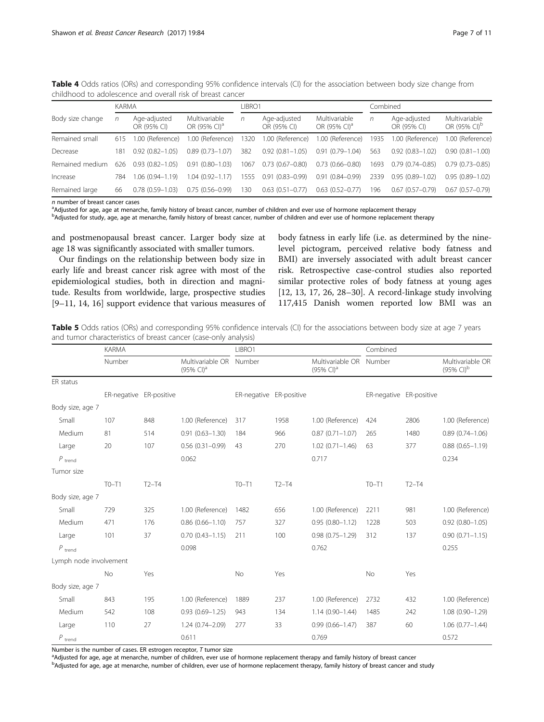| <u>CHINITIOU LU QUUIESCEITCE QHU UVEIQII HSN UL DI EQSL CQHICEI</u> |              |                             |                                           |                   |                             |                                           |          |                             |                                           |  |
|---------------------------------------------------------------------|--------------|-----------------------------|-------------------------------------------|-------------------|-----------------------------|-------------------------------------------|----------|-----------------------------|-------------------------------------------|--|
|                                                                     | <b>KARMA</b> |                             |                                           | IBRO <sub>1</sub> |                             |                                           | Combined |                             |                                           |  |
| Body size change                                                    | n            | Age-adjusted<br>OR (95% CI) | Multivariable<br>OR (95% CI) <sup>a</sup> | n                 | Age-adjusted<br>OR (95% CI) | Multivariable<br>OR (95% CI) <sup>a</sup> | n        | Age-adjusted<br>OR (95% CI) | Multivariable<br>OR (95% CI) <sup>b</sup> |  |
| Remained small                                                      | 615          | 1.00 (Reference)            | 1.00 (Reference)                          | 320               | 1.00 (Reference)            | 1.00 (Reference)                          | 1935     | 1.00 (Reference)            | 1.00 (Reference)                          |  |
| Decrease                                                            | 181          | $0.92(0.82 - 1.05)$         | $0.89(0.73 - 1.07)$                       | 382               | $0.92(0.81 - 1.05)$         | $0.91(0.79 - 1.04)$                       | 563      | $0.92(0.83 - 1.02)$         | $0.90(0.81 - 1.00)$                       |  |
| Remained medium                                                     | 626          | $0.93(0.82 - 1.05)$         | $0.91(0.80 - 1.03)$                       | 1067              | $0.73(0.67 - 0.80)$         | $0.73(0.66 - 0.80)$                       | 1693.    | $0.79(0.74 - 0.85)$         | $0.79(0.73 - 0.85)$                       |  |
| Increase                                                            | 784          | $1.06(0.94 - 1.19)$         | $1.04(0.92 - 1.17)$                       | 1555              | $0.91(0.83 - 0.99)$         | $0.91(0.84 - 0.99)$                       | 2339     | $0.95(0.89 - 1.02)$         | $0.95(0.89 - 1.02)$                       |  |
| Remained large                                                      | 66           | $0.78(0.59 - 1.03)$         | $0.75(0.56 - 0.99)$                       | 130               | $0.63$ $(0.51 - 0.77)$      | $0.63$ $(0.52 - 0.77)$                    | 196      | $0.67(0.57-0.79)$           | $0.67(0.57-0.79)$                         |  |

<span id="page-6-0"></span>Table 4 Odds ratios (ORs) and corresponding 95% confidence intervals (CI) for the association between body size change from childhood to adolescence and overall risk of breast cancer

 $n$  number of breast cancer cases

<sup>a</sup>Adjusted for age, age at menarche, family history of breast cancer, number of children and ever use of hormone replacement therapy

b<br>
Bdjusted for study, age, age at menarche, family history of breast cancer, number of children and ever use of hormone replacement therapy

and postmenopausal breast cancer. Larger body size at age 18 was significantly associated with smaller tumors.

Our findings on the relationship between body size in early life and breast cancer risk agree with most of the epidemiological studies, both in direction and magnitude. Results from worldwide, large, prospective studies [[9](#page-10-0)–[11, 14, 16\]](#page-10-0) support evidence that various measures of body fatness in early life (i.e. as determined by the ninelevel pictogram, perceived relative body fatness and BMI) are inversely associated with adult breast cancer risk. Retrospective case-control studies also reported similar protective roles of body fatness at young ages [[12, 13, 17](#page-10-0), [26, 28](#page-10-0)–[30\]](#page-10-0). A record-linkage study involving 117,415 Danish women reported low BMI was an

Table 5 Odds ratios (ORs) and corresponding 95% confidence intervals (CI) for the associations between body size at age 7 years and tumor characteristics of breast cancer (case-only analysis)

|                        | <b>KARMA</b> |                         |                                           |                         |         |                                           | Combined                |         |                                              |  |
|------------------------|--------------|-------------------------|-------------------------------------------|-------------------------|---------|-------------------------------------------|-------------------------|---------|----------------------------------------------|--|
|                        | Number       |                         | Multivariable OR<br>$(95\% \text{ Cl})^3$ | Number                  |         | Multivariable OR<br>$(95\% \text{ Cl})^a$ | Number                  |         | Multivariable OR<br>$(95\%$ CI) <sup>b</sup> |  |
| ER status              |              |                         |                                           |                         |         |                                           |                         |         |                                              |  |
|                        |              | ER-negative ER-positive |                                           | ER-negative ER-positive |         |                                           | ER-negative ER-positive |         |                                              |  |
| Body size, age 7       |              |                         |                                           |                         |         |                                           |                         |         |                                              |  |
| Small                  | 107          | 848                     | 1.00 (Reference)                          | 317                     | 1958    | 1.00 (Reference)                          | 424                     | 2806    | 1.00 (Reference)                             |  |
| Medium                 | 81           | 514                     | $0.91(0.63 - 1.30)$                       | 184                     | 966     | $0.87(0.71 - 1.07)$                       | 265                     | 1480    | $0.89(0.74 - 1.06)$                          |  |
| Large                  | 20           | 107                     | $0.56(0.31 - 0.99)$                       | 43                      | 270     | $1.02(0.71 - 1.46)$                       | 63                      | 377     | $0.88(0.65 - 1.19)$                          |  |
| $P_{\text{trend}}$     |              |                         | 0.062                                     |                         |         | 0.717                                     |                         |         | 0.234                                        |  |
| Tumor size             |              |                         |                                           |                         |         |                                           |                         |         |                                              |  |
|                        | $TO-T1$      | $T2-T4$                 |                                           | $TO-T1$                 | $T2-T4$ |                                           | $TO-T1$                 | $T2-T4$ |                                              |  |
| Body size, age 7       |              |                         |                                           |                         |         |                                           |                         |         |                                              |  |
| Small                  | 729          | 325                     | 1.00 (Reference)                          | 1482                    | 656     | 1.00 (Reference)                          | 2211                    | 981     | 1.00 (Reference)                             |  |
| Medium                 | 471          | 176                     | $0.86(0.66 - 1.10)$                       | 757                     | 327     | $0.95(0.80 - 1.12)$                       | 1228                    | 503     | $0.92(0.80 - 1.05)$                          |  |
| Large                  | 101          | 37                      | $0.70(0.43 - 1.15)$                       | 211                     | 100     | $0.98(0.75 - 1.29)$                       | 312                     | 137     | $0.90(0.71 - 1.15)$                          |  |
| $P_{\text{trend}}$     |              |                         | 0.098                                     |                         |         | 0.762                                     |                         |         | 0.255                                        |  |
| Lymph node involvement |              |                         |                                           |                         |         |                                           |                         |         |                                              |  |
|                        | <b>No</b>    | Yes                     |                                           | No                      | Yes     |                                           | No                      | Yes     |                                              |  |
| Body size, age 7       |              |                         |                                           |                         |         |                                           |                         |         |                                              |  |
| Small                  | 843          | 195                     | 1.00 (Reference)                          | 1889                    | 237     | 1.00 (Reference)                          | 2732                    | 432     | 1.00 (Reference)                             |  |
| Medium                 | 542          | 108                     | $0.93(0.69 - 1.25)$                       | 943                     | 134     | $1.14(0.90 - 1.44)$                       | 1485                    | 242     | $1.08(0.90 - 1.29)$                          |  |
| Large                  | 110          | 27                      | 1.24 (0.74-2.09)                          | 277                     | 33      | $0.99(0.66 - 1.47)$                       | 387                     | 60      | $1.06(0.77 - 1.44)$                          |  |
| $\boldsymbol{P}$ trend |              |                         | 0.611                                     |                         |         | 0.769                                     |                         |         | 0.572                                        |  |

Number is the number of cases. ER estrogen receptor,  $T$  tumor size

<sup>a</sup>Adjusted for age, age at menarche, number of children, ever use of hormone replacement therapy and family history of breast cancer

b<br>
Badjusted for age, age at menarche, number of children, ever use of hormone replacement therapy, family history of breast cancer and study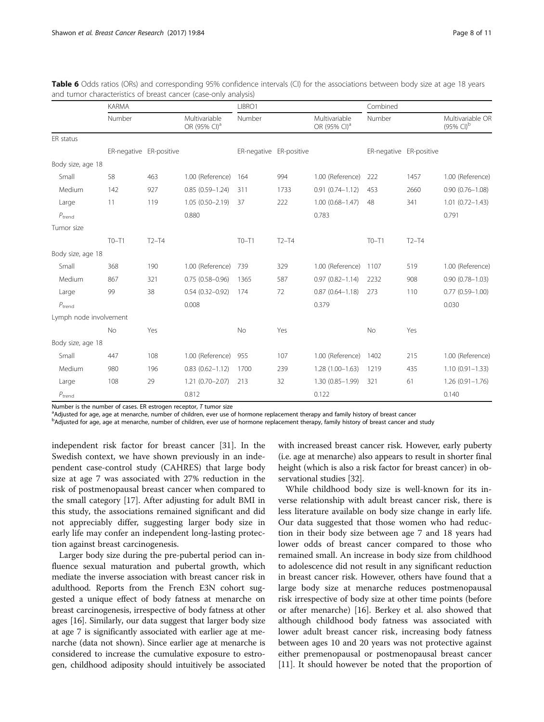|                        | <b>KARMA</b>            |         |                                           | LIBRO1                  |         |                                           | Combined                |         |                                              |  |
|------------------------|-------------------------|---------|-------------------------------------------|-------------------------|---------|-------------------------------------------|-------------------------|---------|----------------------------------------------|--|
|                        | Number                  |         | Multivariable<br>OR (95% CI) <sup>a</sup> | Number                  |         | Multivariable<br>OR (95% CI) <sup>a</sup> | Number                  |         | Multivariable OR<br>$(95\%$ CI) <sup>b</sup> |  |
| ER status              |                         |         |                                           |                         |         |                                           |                         |         |                                              |  |
|                        | ER-negative ER-positive |         |                                           | ER-negative ER-positive |         |                                           | ER-negative ER-positive |         |                                              |  |
| Body size, age 18      |                         |         |                                           |                         |         |                                           |                         |         |                                              |  |
| Small                  | 58                      | 463     | 1.00 (Reference)                          | 164                     | 994     | 1.00 (Reference)                          | 222                     | 1457    | 1.00 (Reference)                             |  |
| Medium                 | 142                     | 927     | $0.85(0.59 - 1.24)$                       | 311                     | 1733    | $0.91(0.74 - 1.12)$                       | 453                     | 2660    | $0.90(0.76 - 1.08)$                          |  |
| Large                  | 11                      | 119     | $1.05(0.50 - 2.19)$                       | 37                      | 222     | $1.00(0.68 - 1.47)$                       | 48                      | 341     | $1.01(0.72 - 1.43)$                          |  |
| $P_{\rm trend}$        |                         |         | 0.880                                     |                         |         | 0.783                                     |                         |         | 0.791                                        |  |
| Tumor size             |                         |         |                                           |                         |         |                                           |                         |         |                                              |  |
|                        | $TO-T1$                 | $T2-T4$ |                                           | $TO-T1$                 | $T2-T4$ |                                           | $TO-T1$                 | $T2-T4$ |                                              |  |
| Body size, age 18      |                         |         |                                           |                         |         |                                           |                         |         |                                              |  |
| Small                  | 368                     | 190     | 1.00 (Reference)                          | 739                     | 329     | 1.00 (Reference)                          | 1107                    | 519     | 1.00 (Reference)                             |  |
| Medium                 | 867                     | 321     | $0.75(0.58 - 0.96)$                       | 1365                    | 587     | $0.97(0.82 - 1.14)$                       | 2232                    | 908     | $0.90(0.78 - 1.03)$                          |  |
| Large                  | 99                      | 38      | $0.54(0.32 - 0.92)$                       | 174                     | 72      | $0.87(0.64 - 1.18)$                       | 273                     | 110     | $0.77(0.59 - 1.00)$                          |  |
| $P_{\text{trend}}$     |                         |         | 0.008                                     |                         |         | 0.379                                     |                         |         | 0.030                                        |  |
| Lymph node involvement |                         |         |                                           |                         |         |                                           |                         |         |                                              |  |
|                        | <b>No</b>               | Yes     |                                           | No                      | Yes     |                                           | No                      | Yes     |                                              |  |
| Body size, age 18      |                         |         |                                           |                         |         |                                           |                         |         |                                              |  |
| Small                  | 447                     | 108     | 1.00 (Reference)                          | 955                     | 107     | 1.00 (Reference)                          | 1402                    | 215     | 1.00 (Reference)                             |  |
| Medium                 | 980                     | 196     | $0.83(0.62 - 1.12)$                       | 1700                    | 239     | $1.28(1.00-1.63)$                         | 1219                    | 435     | $1.10(0.91 - 1.33)$                          |  |
| Large                  | 108                     | 29      | $1.21(0.70 - 2.07)$                       | 213                     | 32      | 1.30 (0.85-1.99)                          | 321                     | 61      | $1.26(0.91 - 1.76)$                          |  |
| $P_{trend}$            |                         |         | 0.812                                     |                         |         | 0.122                                     |                         |         | 0.140                                        |  |

<span id="page-7-0"></span>

| Table 6 Odds ratios (ORs) and corresponding 95% confidence intervals (CI) for the associations between body size at age 18 years |  |  |  |  |
|----------------------------------------------------------------------------------------------------------------------------------|--|--|--|--|
| and tumor characteristics of breast cancer (case-only analysis)                                                                  |  |  |  |  |

Number is the number of cases. ER estrogen receptor,  $T$  tumor size

<sup>a</sup>Adjusted for age, age at menarche, number of children, ever use of hormone replacement therapy and family history of breast cancer

b<br>
Badjusted for age, age at menarche, number of children, ever use of hormone replacement therapy, family history of breast cancer and study

independent risk factor for breast cancer [\[31](#page-10-0)]. In the Swedish context, we have shown previously in an independent case-control study (CAHRES) that large body size at age 7 was associated with 27% reduction in the risk of postmenopausal breast cancer when compared to the small category [[17](#page-10-0)]. After adjusting for adult BMI in this study, the associations remained significant and did not appreciably differ, suggesting larger body size in early life may confer an independent long-lasting protection against breast carcinogenesis.

Larger body size during the pre-pubertal period can influence sexual maturation and pubertal growth, which mediate the inverse association with breast cancer risk in adulthood. Reports from the French E3N cohort suggested a unique effect of body fatness at menarche on breast carcinogenesis, irrespective of body fatness at other ages [\[16\]](#page-10-0). Similarly, our data suggest that larger body size at age 7 is significantly associated with earlier age at menarche (data not shown). Since earlier age at menarche is considered to increase the cumulative exposure to estrogen, childhood adiposity should intuitively be associated with increased breast cancer risk. However, early puberty (i.e. age at menarche) also appears to result in shorter final height (which is also a risk factor for breast cancer) in observational studies [\[32\]](#page-10-0).

While childhood body size is well-known for its inverse relationship with adult breast cancer risk, there is less literature available on body size change in early life. Our data suggested that those women who had reduction in their body size between age 7 and 18 years had lower odds of breast cancer compared to those who remained small. An increase in body size from childhood to adolescence did not result in any significant reduction in breast cancer risk. However, others have found that a large body size at menarche reduces postmenopausal risk irrespective of body size at other time points (before or after menarche) [\[16](#page-10-0)]. Berkey et al. also showed that although childhood body fatness was associated with lower adult breast cancer risk, increasing body fatness between ages 10 and 20 years was not protective against either premenopausal or postmenopausal breast cancer [[11\]](#page-10-0). It should however be noted that the proportion of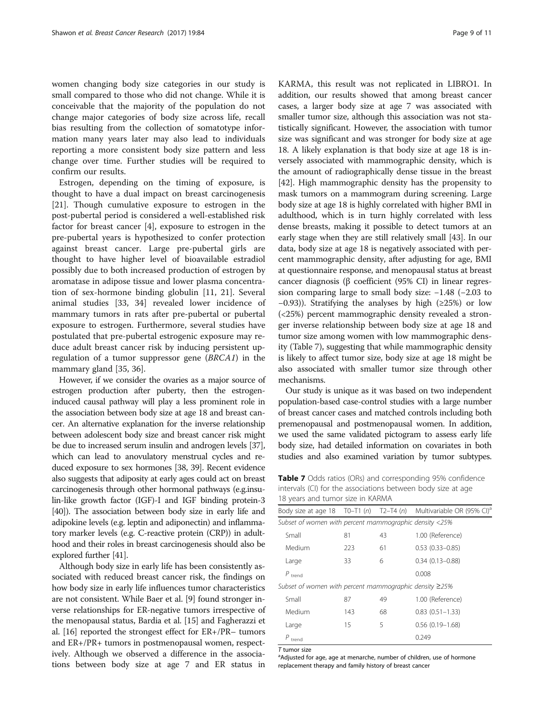women changing body size categories in our study is small compared to those who did not change. While it is conceivable that the majority of the population do not change major categories of body size across life, recall bias resulting from the collection of somatotype information many years later may also lead to individuals reporting a more consistent body size pattern and less change over time. Further studies will be required to confirm our results.

Estrogen, depending on the timing of exposure, is thought to have a dual impact on breast carcinogenesis [[21\]](#page-10-0). Though cumulative exposure to estrogen in the post-pubertal period is considered a well-established risk factor for breast cancer [\[4](#page-9-0)], exposure to estrogen in the pre-pubertal years is hypothesized to confer protection against breast cancer. Large pre-pubertal girls are thought to have higher level of bioavailable estradiol possibly due to both increased production of estrogen by aromatase in adipose tissue and lower plasma concentration of sex-hormone binding globulin [\[11](#page-10-0), [21\]](#page-10-0). Several animal studies [\[33, 34\]](#page-10-0) revealed lower incidence of mammary tumors in rats after pre-pubertal or pubertal exposure to estrogen. Furthermore, several studies have postulated that pre-pubertal estrogenic exposure may reduce adult breast cancer risk by inducing persistent upregulation of a tumor suppressor gene (BRCA1) in the mammary gland [\[35](#page-10-0), [36](#page-10-0)].

However, if we consider the ovaries as a major source of estrogen production after puberty, then the estrogeninduced causal pathway will play a less prominent role in the association between body size at age 18 and breast cancer. An alternative explanation for the inverse relationship between adolescent body size and breast cancer risk might be due to increased serum insulin and androgen levels [\[37](#page-10-0)], which can lead to anovulatory menstrual cycles and reduced exposure to sex hormones [\[38, 39](#page-10-0)]. Recent evidence also suggests that adiposity at early ages could act on breast carcinogenesis through other hormonal pathways (e.g.insulin-like growth factor (IGF)-I and IGF binding protein-3 [[40](#page-10-0)]). The association between body size in early life and adipokine levels (e.g. leptin and adiponectin) and inflammatory marker levels (e.g. C-reactive protein (CRP)) in adulthood and their roles in breast carcinogenesis should also be explored further [\[41](#page-10-0)].

Although body size in early life has been consistently associated with reduced breast cancer risk, the findings on how body size in early life influences tumor characteristics are not consistent. While Baer et al. [\[9\]](#page-10-0) found stronger inverse relationships for ER-negative tumors irrespective of the menopausal status, Bardia et al. [[15](#page-10-0)] and Fagherazzi et al. [[16\]](#page-10-0) reported the strongest effect for ER+/PR– tumors and ER+/PR+ tumors in postmenopausal women, respectively. Although we observed a difference in the associations between body size at age 7 and ER status in KARMA, this result was not replicated in LIBRO1. In addition, our results showed that among breast cancer cases, a larger body size at age 7 was associated with smaller tumor size, although this association was not statistically significant. However, the association with tumor size was significant and was stronger for body size at age 18. A likely explanation is that body size at age 18 is inversely associated with mammographic density, which is the amount of radiographically dense tissue in the breast [[42](#page-10-0)]. High mammographic density has the propensity to mask tumors on a mammogram during screening. Large body size at age 18 is highly correlated with higher BMI in adulthood, which is in turn highly correlated with less dense breasts, making it possible to detect tumors at an early stage when they are still relatively small [[43](#page-10-0)]. In our data, body size at age 18 is negatively associated with percent mammographic density, after adjusting for age, BMI at questionnaire response, and menopausal status at breast cancer diagnosis (β coefficient (95% CI) in linear regression comparing large to small body size: −1.48 (−2.03 to −0.93)). Stratifying the analyses by high (≥25%) or low (<25%) percent mammographic density revealed a stronger inverse relationship between body size at age 18 and tumor size among women with low mammographic density (Table 7), suggesting that while mammographic density is likely to affect tumor size, body size at age 18 might be also associated with smaller tumor size through other mechanisms.

Our study is unique as it was based on two independent population-based case-control studies with a large number of breast cancer cases and matched controls including both premenopausal and postmenopausal women. In addition, we used the same validated pictogram to assess early life body size, had detailed information on covariates in both studies and also examined variation by tumor subtypes.

Table 7 Odds ratios (ORs) and corresponding 95% confidence intervals (CI) for the associations between body size at age 18 years and tumor size in KARMA

|                                                              |     |    | Body size at age 18 T0–T1 (n) T2–T4 (n) Multivariable OR (95% CI) <sup>a</sup> |
|--------------------------------------------------------------|-----|----|--------------------------------------------------------------------------------|
| Subset of women with percent mammographic density <25%       |     |    |                                                                                |
| Small                                                        | 81  | 43 | 1.00 (Reference)                                                               |
| Medium                                                       | 223 | 61 | $0.53(0.33 - 0.85)$                                                            |
| Large                                                        | 33  | 6  | $0.34(0.13 - 0.88)$                                                            |
| $P_{\text{trend}}$                                           |     |    | 0.008                                                                          |
| Subset of women with percent mammographic density $\geq$ 25% |     |    |                                                                                |
| Small                                                        | 87  | 49 | 1.00 (Reference)                                                               |
| Medium                                                       | 143 | 68 | $0.83(0.51 - 1.33)$                                                            |
| Large                                                        | 15  | 5  | $0.56(0.19 - 1.68)$                                                            |
| $P$ trend                                                    |     |    | 0.249                                                                          |
|                                                              |     |    |                                                                                |

T tumor size

<sup>a</sup>Adjusted for age, age at menarche, number of children, use of hormone replacement therapy and family history of breast cancer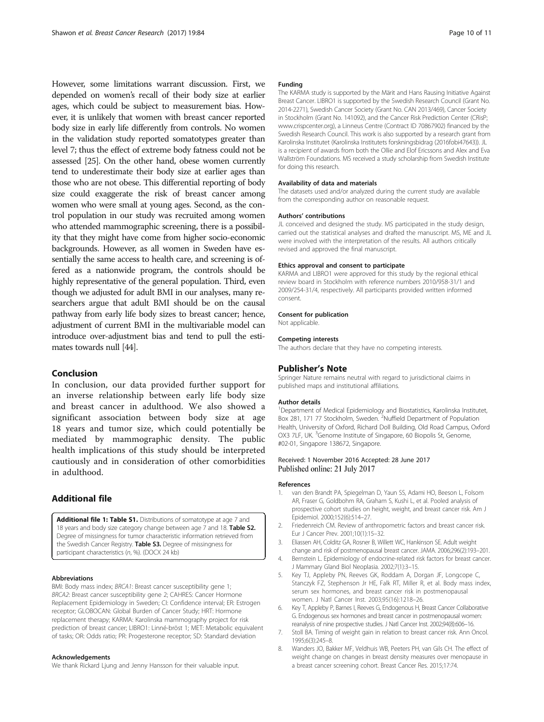<span id="page-9-0"></span>However, some limitations warrant discussion. First, we depended on women's recall of their body size at earlier ages, which could be subject to measurement bias. However, it is unlikely that women with breast cancer reported body size in early life differently from controls. No women in the validation study reported somatotypes greater than level 7; thus the effect of extreme body fatness could not be assessed [[25](#page-10-0)]. On the other hand, obese women currently tend to underestimate their body size at earlier ages than those who are not obese. This differential reporting of body size could exaggerate the risk of breast cancer among women who were small at young ages. Second, as the control population in our study was recruited among women who attended mammographic screening, there is a possibility that they might have come from higher socio-economic backgrounds. However, as all women in Sweden have essentially the same access to health care, and screening is offered as a nationwide program, the controls should be highly representative of the general population. Third, even though we adjusted for adult BMI in our analyses, many researchers argue that adult BMI should be on the causal pathway from early life body sizes to breast cancer; hence, adjustment of current BMI in the multivariable model can introduce over-adjustment bias and tend to pull the estimates towards null [[44](#page-10-0)].

# Conclusion

In conclusion, our data provided further support for an inverse relationship between early life body size and breast cancer in adulthood. We also showed a significant association between body size at age 18 years and tumor size, which could potentially be mediated by mammographic density. The public health implications of this study should be interpreted cautiously and in consideration of other comorbidities in adulthood.

# Additional file

[Additional file 1: Table S1.](dx.doi.org/10.1186/s13058-017-0875-9) Distributions of somatotype at age 7 and 18 years and body size category change between age 7 and 18. Table S2. Degree of missingness for tumor characteristic information retrieved from the Swedish Cancer Registry. Table S3. Degree of missingness for participant characteristics (n, %). (DOCX 24 kb)

#### Abbreviations

BMI: Body mass index; BRCA1: Breast cancer susceptibility gene 1; BRCA2: Breast cancer susceptibility gene 2; CAHRES: Cancer Hormone Replacement Epidemiology in Sweden; CI: Confidence interval; ER: Estrogen receptor; GLOBOCAN: Global Burden of Cancer Study; HRT: Hormone replacement therapy; KARMA: Karolinska mammography project for risk prediction of breast cancer; LIBRO1: Linné-bröst 1; MET: Metabolic equivalent of tasks; OR: Odds ratio; PR: Progesterone receptor; SD: Standard deviation

## Acknowledgements

We thank Rickard Ljung and Jenny Hansson for their valuable input.

#### Funding

The KARMA study is supported by the Märit and Hans Rausing Initiative Against Breast Cancer. LIBRO1 is supported by the Swedish Research Council (Grant No. 2014-2271), Swedish Cancer Society (Grant No. CAN 2013/469), Cancer Society in Stockholm (Grant No. 141092), and the Cancer Risk Prediction Center (CRisP; [www.crispcenter.org\)](http://www.crispcenter.org/), a Linneus Centre (Contract ID 70867902) financed by the Swedish Research Council. This work is also supported by a research grant from Karolinska Institutet (Karolinska Institutets forskningsbidrag (2016fobi47643)). JL is a recipient of awards from both the Ollie and Elof Ericssons and Alex and Eva Wallström Foundations. MS received a study scholarship from Swedish Institute for doing this research.

### Availability of data and materials

The datasets used and/or analyzed during the current study are available from the corresponding author on reasonable request.

#### Authors' contributions

JL conceived and designed the study. MS participated in the study design, carried out the statistical analyses and drafted the manuscript. MS, ME and JL were involved with the interpretation of the results. All authors critically revised and approved the final manuscript.

#### Ethics approval and consent to participate

KARMA and LIBRO1 were approved for this study by the regional ethical review board in Stockholm with reference numbers 2010/958-31/1 and 2009/254-31/4, respectively. All participants provided written informed consent.

#### Consent for publication

Not applicable.

#### Competing interests

The authors declare that they have no competing interests.

#### Publisher's Note

Springer Nature remains neutral with regard to jurisdictional claims in published maps and institutional affiliations.

#### Author details

<sup>1</sup>Department of Medical Epidemiology and Biostatistics, Karolinska Institutet, Box 281, 171 77 Stockholm, Sweden. <sup>2</sup>Nuffield Department of Population Health, University of Oxford, Richard Doll Building, Old Road Campus, Oxford OX3 7LF, UK. <sup>3</sup>Genome Institute of Singapore, 60 Biopolis St, Genome, #02-01, Singapore 138672, Singapore.

## Received: 1 November 2016 Accepted: 28 June 2017 Published online: 21 July 2017

#### References

- 1. van den Brandt PA, Spiegelman D, Yaun SS, Adami HO, Beeson L, Folsom AR, Fraser G, Goldbohm RA, Graham S, Kushi L, et al. Pooled analysis of prospective cohort studies on height, weight, and breast cancer risk. Am J Epidemiol. 2000;152(6):514–27.
- 2. Friedenreich CM. Review of anthropometric factors and breast cancer risk. Eur J Cancer Prev. 2001;10(1):15–32.
- 3. Eliassen AH, Colditz GA, Rosner B, Willett WC, Hankinson SE. Adult weight change and risk of postmenopausal breast cancer. JAMA. 2006;296(2):193–201.
- 4. Bernstein L. Epidemiology of endocrine-related risk factors for breast cancer. J Mammary Gland Biol Neoplasia. 2002;7(1):3–15.
- 5. Key TJ, Appleby PN, Reeves GK, Roddam A, Dorgan JF, Longcope C, Stanczyk FZ, Stephenson Jr HE, Falk RT, Miller R, et al. Body mass index, serum sex hormones, and breast cancer risk in postmenopausal women. J Natl Cancer Inst. 2003;95(16):1218–26.
- 6. Key T, Appleby P, Barnes I, Reeves G, Endogenous H, Breast Cancer Collaborative G. Endogenous sex hormones and breast cancer in postmenopausal women: reanalysis of nine prospective studies. J Natl Cancer Inst. 2002;94(8):606–16.
- 7. Stoll BA. Timing of weight gain in relation to breast cancer risk. Ann Oncol. 1995;6(3):245–8.
- 8. Wanders JO, Bakker MF, Veldhuis WB, Peeters PH, van Gils CH. The effect of weight change on changes in breast density measures over menopause in a breast cancer screening cohort. Breast Cancer Res. 2015;17:74.